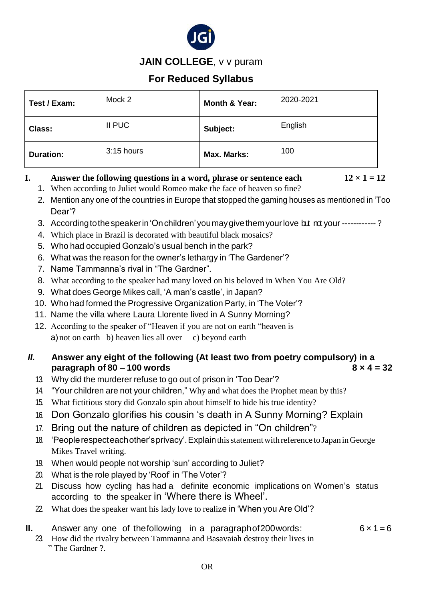

**JAIN COLLEGE**, v v puram

# **For Reduced Syllabus**

| Test / Exam:     | Mock 2       | Month & Year: | 2020-2021 |
|------------------|--------------|---------------|-----------|
| <b>Class:</b>    | II PUC       | Subject:      | English   |
| <b>Duration:</b> | $3:15$ hours | Max. Marks:   | 100       |

# **I. Answer the following questions in a word, phrase or sentence each**  $12 \times 1 = 12$

- 1. When according to Juliet would Romeo make the face of heaven so fine?
- 2. Mention any one of the countries in Europe that stopped the gaming houses as mentioned in 'Too Dear'?
- 3. According to the speaker in 'On children' you may give them your love but not your ------------?
- 4. Which place in Brazil is decorated with beautiful black mosaics?
- 5. Who had occupied Gonzalo's usual bench in the park?
- 6. What was the reason for the owner's lethargy in 'The Gardener'?
- 7. Name Tammanna's rival in "The Gardner".
- 8. What according to the speaker had many loved on his beloved in When You Are Old?
- 9. What does George Mikes call, 'A man's castle', in Japan?
- 10. Who had formed the Progressive Organization Party, in 'The Voter'?
- 11. Name the villa where Laura Llorente lived in A Sunny Morning?
- 12. According to the speaker of "Heaven if you are not on earth "heaven is a) not on earth b) heaven lies all over c) beyond earth

# *II.* **Answer any eight of the following (At least two from poetry compulsory) in a paragraph of 80 – 100 words 8 × 4 = 32**

- 13. Why did the murderer refuse to go out of prison in 'Too Dear'?
- 14. "Your children are not your children," Why and what does the Prophet mean by this?
- 15. What fictitious story did Gonzalo spin about himself to hide his true identity?
- 16. Don Gonzalo glorifies his cousin 's death in A Sunny Morning? Explain
- 17. Bring out the nature of children as depicted in "On children"?
- 18. 'Peoplerespecteachother'sprivacy'.Explainthisstatementwithreference toJapan inGeorge Mikes Travel writing.
- 19. When would people not worship 'sun' according to Juliet?
- 20. What is the role played by 'Roof' in 'The Voter'?
- 21. Discuss how cycling has had a definite economic implications on Women's status according to the speaker in 'Where there is Wheel'.
- 22. What does the speaker want his lady love to realize in 'When you Are Old'?

# **II.** Answer any one of the following in a paragraphof 200 words:  $6 \times 1 = 6$

23. How did the rivalry between Tammanna and Basavaiah destroy their lives in " The Gardner ?.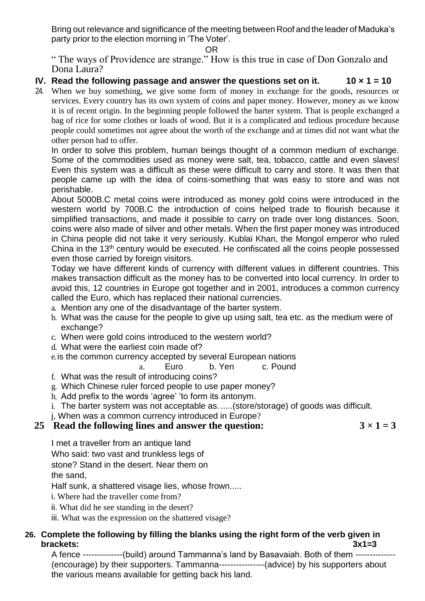Bring out relevance and significance of the meeting between Roof and the leader of Maduka's party prior to the election morning in 'The Voter'.

#### OR

" The ways of Providence are strange." How is this true in case of Don Gonzalo and Dona Laura?

### **IV. Read the following passage and answer the questions set on it. 10 × 1 = 10**

24. When we buy something, we give some form of money in exchange for the goods, resources or services. Every country has its own system of coins and paper money. However, money as we know it is of recent origin. In the beginning people followed the barter system. That is people exchanged a bag of rice for some clothes or loads of wood. But it is a complicated and tedious procedure because people could sometimes not agree about the worth of the exchange and at times did not want what the other person had to offer.

In order to solve this problem, human beings thought of a common medium of exchange. Some of the commodities used as money were salt, tea, tobacco, cattle and even slaves! Even this system was a difficult as these were difficult to carry and store. It was then that people came up with the idea of coins-something that was easy to store and was not perishable.

About 5000B.C metal coins were introduced as money gold coins were introduced in the western world by 700B.C the introduction of coins helped trade to flourish because it simplified transactions, and made it possible to carry on trade over long distances. Soon, coins were also made of silver and other metals. When the first paper money was introduced in China people did not take it very seriously. Kublai Khan, the Mongol emperor who ruled China in the 13th century would be executed. He confiscated all the coins people possessed even those carried by foreign visitors.

Today we have different kinds of currency with different values in different countries. This makes transaction difficult as the money has to be converted into local currency. In order to avoid this, 12 countries in Europe got together and in 2001, introduces a common currency called the Euro, which has replaced their national currencies.

- a. Mention any one of the disadvantage of the barter system.
- b. What was the cause for the people to give up using salt, tea etc. as the medium were of exchange?
- c. When were gold coins introduced to the western world?
- d. What were the earliest coin made of?
- e.is the common currency accepted by several European nations

#### a. Euro b. Yen c. Pound

- f. What was the result of introducing coins?
- g. Which Chinese ruler forced people to use paper money?
- h. Add prefix to the words 'agree' 'to form its antonym.
- i. The barter system was not acceptable as. .....(store/storage) of goods was difficult.
- j, When was a common currency introduced in Europe?

# **25 Read the following lines and answer the question:**  $3 \times 1 = 3$

I met a traveller from an antique land Who said: two vast and trunkless legs of stone? Stand in the desert. Near them on the sand,

Half sunk, a shattered visage lies, whose frown.....

i. Where had the traveller come from?

ii. What did he see standing in the desert?

iii. What was the expression on the shattered visage?

### **26. Complete the following by filling the blanks using the right form of the verb given in brackets: 3x1=3**

A fence --------------(build) around Tammanna's land by Basavaiah. Both of them -------------- (encourage) by their supporters. Tammanna----------------(advice) by his supporters about the various means available for getting back his land.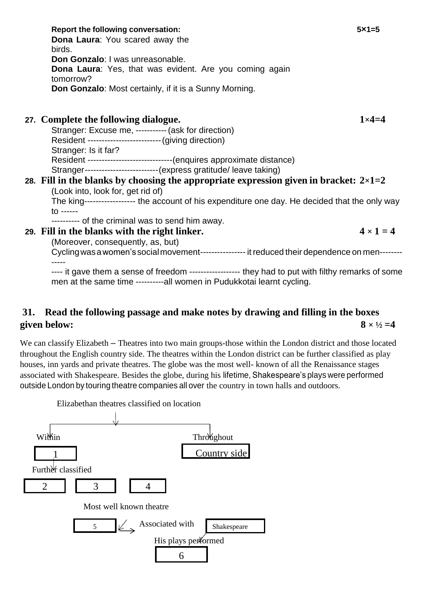| <b>Dona Laura: You scared away the</b><br>birds.                                                    |                  |  |
|-----------------------------------------------------------------------------------------------------|------------------|--|
| Don Gonzalo: I was unreasonable.                                                                    |                  |  |
| <b>Dona Laura:</b> Yes, that was evident. Are you coming again<br>tomorrow?                         |                  |  |
| <b>Don Gonzalo:</b> Most certainly, if it is a Sunny Morning.                                       |                  |  |
| 27. Complete the following dialogue.                                                                | $1 \times 4 = 4$ |  |
|                                                                                                     |                  |  |
| Stranger: Excuse me, ----------- (ask for direction)                                                |                  |  |
| Resident ------------------------- (giving direction)                                               |                  |  |
| Stranger: Is it far?                                                                                |                  |  |
| Resident ------------------------------(enquires approximate distance)                              |                  |  |
| Stranger-------------------------- (express gratitude/ leave taking)                                |                  |  |
| 28. Fill in the blanks by choosing the appropriate expression given in bracket: $2\times1=2$        |                  |  |
| (Look into, look for, get rid of)                                                                   |                  |  |
| The king------------------- the account of his expenditure one day. He decided that the only way    |                  |  |
| $10 - - - - -$                                                                                      |                  |  |
| --------- of the criminal was to send him away.                                                     |                  |  |
| 29. Fill in the blanks with the right linker.                                                       | $4 \times 1 = 4$ |  |
| (Moreover, consequently, as, but)                                                                   |                  |  |
| Cycling was a women's social movement----------------- it reduced their dependence on men--------   |                  |  |
| ---- it gave them a sense of freedom ------------------ they had to put with filthy remarks of some |                  |  |

**Report the following conversation: 5×1=5**

---- it gave them a sense of freedom ------------------ they had to put with filthy remarks of some men at the same time ----------all women in Pudukkotai learnt cycling.

# **31. Read the following passage and make notes by drawing and filling in the boxes given below:**  $8 \times \frac{1}{2} = 4$

We can classify Elizabeth – Theatres into two main groups-those within the London district and those located throughout the English country side. The theatres within the London district can be further classified as play houses, inn yards and private theatres. The globe was the most well- known of all the Renaissance stages associated with Shakespeare. Besides the globe, during his lifetime, Shakespeare's plays were performed outside London by touring theatre companies all over the country in town halls and outdoors.

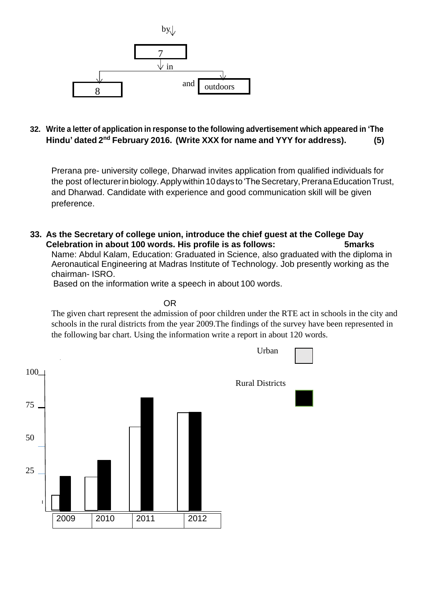

### **32. Write a letter of application in response to the following advertisement which appeared in 'The Hindu' dated 2 nd February 2016. (Write XXX for name and YYY for address). (5)**

Prerana pre- university college, Dharwad invites application from qualified individuals for the post of lecturer in biology. Apply within 10 days to 'The Secretary, Prerana Education Trust, and Dharwad. Candidate with experience and good communication skill will be given preference.

**33. As the Secretary of college union, introduce the chief guest at the College Day Celebration in about 100 words. His profile is as follows: 5marks** Name: Abdul Kalam, Education: Graduated in Science, also graduated with the diploma in

Aeronautical Engineering at Madras Institute of Technology. Job presently working as the chairman- ISRO.

Based on the information write a speech in about 100 words.

**OR** Service Contract on the Contract of the Contract of the Contract of the Contract of the Contract of the Con

The given chart represent the admission of poor children under the RTE act in schools in the city and schools in the rural districts from the year 2009.The findings of the survey have been represented in the following bar chart. Using the information write a report in about 120 words.